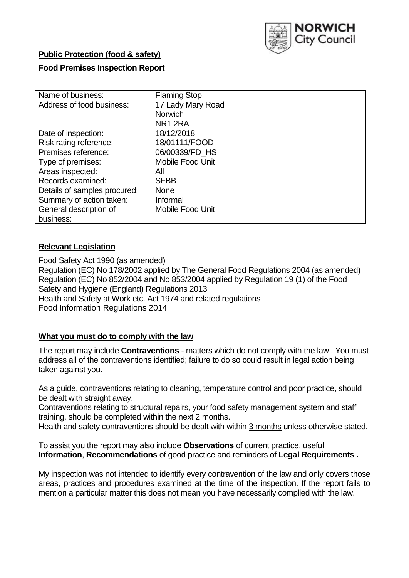

## **Public Protection (food & safety)**

### **Food Premises Inspection Report**

| Name of business:            | <b>Flaming Stop</b>     |
|------------------------------|-------------------------|
| Address of food business:    | 17 Lady Mary Road       |
|                              | <b>Norwich</b>          |
|                              | NR <sub>1</sub> 2RA     |
| Date of inspection:          | 18/12/2018              |
| Risk rating reference:       | 18/01111/FOOD           |
| Premises reference:          | 06/00339/FD HS          |
| Type of premises:            | <b>Mobile Food Unit</b> |
| Areas inspected:             | All                     |
| Records examined:            | <b>SFBB</b>             |
| Details of samples procured: | <b>None</b>             |
| Summary of action taken:     | Informal                |
| General description of       | Mobile Food Unit        |
| business:                    |                         |

### **Relevant Legislation**

Food Safety Act 1990 (as amended) Regulation (EC) No 178/2002 applied by The General Food Regulations 2004 (as amended) Regulation (EC) No 852/2004 and No 853/2004 applied by Regulation 19 (1) of the Food Safety and Hygiene (England) Regulations 2013 Health and Safety at Work etc. Act 1974 and related regulations Food Information Regulations 2014

### **What you must do to comply with the law**

The report may include **Contraventions** - matters which do not comply with the law . You must address all of the contraventions identified; failure to do so could result in legal action being taken against you.

As a guide, contraventions relating to cleaning, temperature control and poor practice, should be dealt with straight away.

Contraventions relating to structural repairs, your food safety management system and staff training, should be completed within the next 2 months.

Health and safety contraventions should be dealt with within 3 months unless otherwise stated.

To assist you the report may also include **Observations** of current practice, useful **Information**, **Recommendations** of good practice and reminders of **Legal Requirements .**

My inspection was not intended to identify every contravention of the law and only covers those areas, practices and procedures examined at the time of the inspection. If the report fails to mention a particular matter this does not mean you have necessarily complied with the law.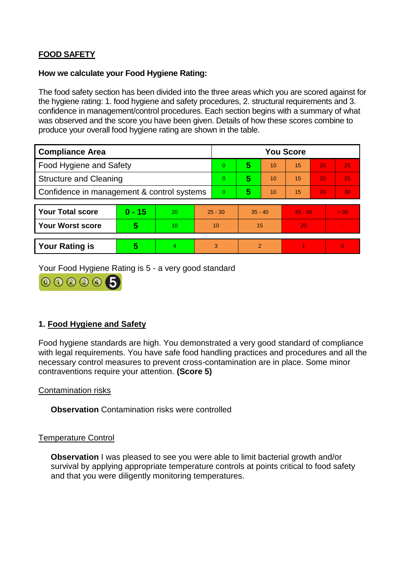# **FOOD SAFETY**

#### **How we calculate your Food Hygiene Rating:**

The food safety section has been divided into the three areas which you are scored against for the hygiene rating: 1. food hygiene and safety procedures, 2. structural requirements and 3. confidence in management/control procedures. Each section begins with a summary of what was observed and the score you have been given. Details of how these scores combine to produce your overall food hygiene rating are shown in the table.

| <b>Compliance Area</b>                     |          |    |                | <b>You Score</b> |                |    |           |    |                |  |  |
|--------------------------------------------|----------|----|----------------|------------------|----------------|----|-----------|----|----------------|--|--|
| Food Hygiene and Safety                    |          |    |                | $\Omega$         | 5              | 10 | 15        | 20 | 25             |  |  |
| <b>Structure and Cleaning</b>              |          |    | $\overline{0}$ | 5                | 10             | 15 | 20        | 25 |                |  |  |
| Confidence in management & control systems |          |    | $\Omega$       | 5                | 10             | 15 | 20        | 30 |                |  |  |
|                                            |          |    |                |                  |                |    |           |    |                |  |  |
| <b>Your Total score</b>                    | $0 - 15$ | 20 | $25 - 30$      |                  | $35 - 40$      |    | $45 - 50$ |    | > 50           |  |  |
| <b>Your Worst score</b>                    | 5        | 10 | 10             |                  | 15             |    | 20        |    | $\blacksquare$ |  |  |
|                                            |          |    |                |                  |                |    |           |    |                |  |  |
| <b>Your Rating is</b>                      | 5        | 4  | 3              |                  | $\overline{2}$ |    |           |    | $\Omega$       |  |  |

Your Food Hygiene Rating is 5 - a very good standard



## **1. Food Hygiene and Safety**

Food hygiene standards are high. You demonstrated a very good standard of compliance with legal requirements. You have safe food handling practices and procedures and all the necessary control measures to prevent cross-contamination are in place. Some minor contraventions require your attention. **(Score 5)**

Contamination risks

**Observation** Contamination risks were controlled

### Temperature Control

**Observation** I was pleased to see you were able to limit bacterial growth and/or survival by applying appropriate temperature controls at points critical to food safety and that you were diligently monitoring temperatures.